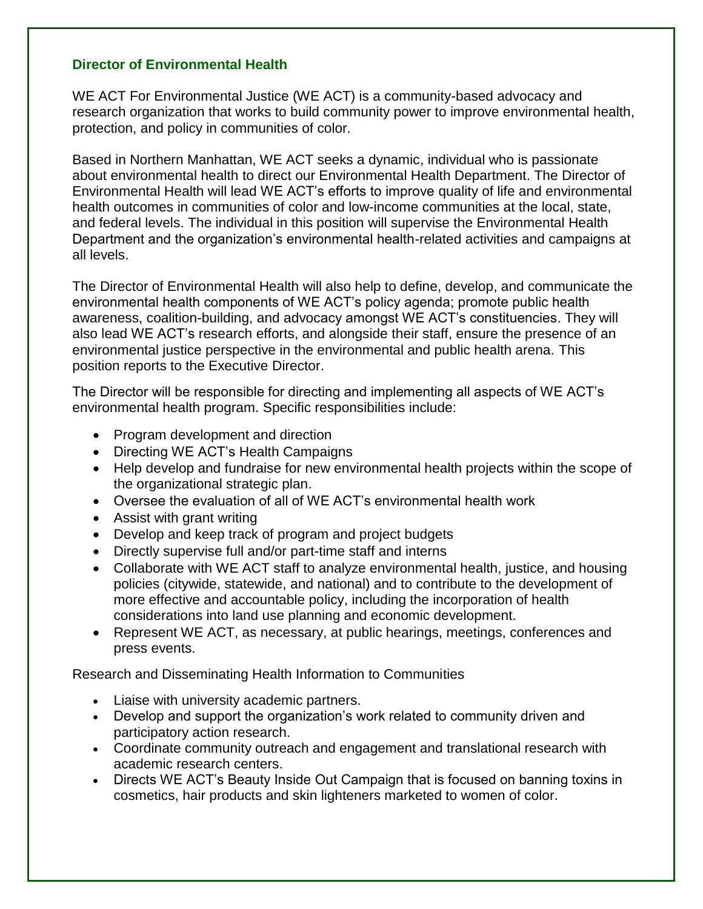## **Director of Environmental Health**

WE ACT For Environmental Justice (WE ACT) is a community-based advocacy and research organization that works to build community power to improve environmental health, protection, and policy in communities of color.

Based in Northern Manhattan, WE ACT seeks a dynamic, individual who is passionate about environmental health to direct our Environmental Health Department. The Director of Environmental Health will lead WE ACT's efforts to improve quality of life and environmental health outcomes in communities of color and low-income communities at the local, state, and federal levels. The individual in this position will supervise the Environmental Health Department and the organization's environmental health-related activities and campaigns at all levels.

The Director of Environmental Health will also help to define, develop, and communicate the environmental health components of WE ACT's policy agenda; promote public health awareness, coalition-building, and advocacy amongst WE ACT's constituencies. They will also lead WE ACT's research efforts, and alongside their staff, ensure the presence of an environmental justice perspective in the environmental and public health arena. This position reports to the Executive Director.

The Director will be responsible for directing and implementing all aspects of WE ACT's environmental health program. Specific responsibilities include:

- Program development and direction
- Directing WE ACT's Health Campaigns
- Help develop and fundraise for new environmental health projects within the scope of the organizational strategic plan.
- Oversee the evaluation of all of WE ACT's environmental health work
- Assist with grant writing
- Develop and keep track of program and project budgets
- Directly supervise full and/or part-time staff and interns
- Collaborate with WE ACT staff to analyze environmental health, justice, and housing policies (citywide, statewide, and national) and to contribute to the development of more effective and accountable policy, including the incorporation of health considerations into land use planning and economic development.
- Represent WE ACT, as necessary, at public hearings, meetings, conferences and press events.

Research and Disseminating Health Information to Communities

- Liaise with university academic partners.
- Develop and support the organization's work related to community driven and participatory action research.
- Coordinate community outreach and engagement and translational research with academic research centers.
- Directs WE ACT's Beauty Inside Out Campaign that is focused on banning toxins in cosmetics, hair products and skin lighteners marketed to women of color.